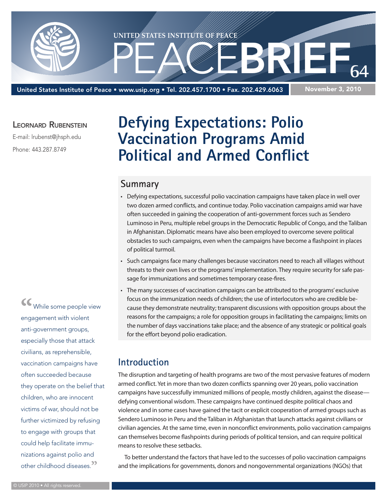

United States Institute of Peace • www.usip.org • Tel. 202.457.1700 • Fax. 202.429.6063

#### November 3, 2010

#### LEORNARD RUBENSTEIN

E-mail: lrubenst@jhsph.edu

Phone: 443.287.8749

## **Defying Expectations: Polio Vaccination Programs Amid Political and Armed Conflict**

#### **Summary**

- • Defying expectations, successful polio vaccination campaigns have taken place in well over two dozen armed conflicts, and continue today. Polio vaccination campaigns amid war have often succeeded in gaining the cooperation of anti-government forces such as Sendero Luminoso in Peru, multiple rebel groups in the Democratic Republic of Congo, and the Taliban in Afghanistan. Diplomatic means have also been employed to overcome severe political obstacles to such campaigns, even when the campaigns have become a flashpoint in places of political turmoil.
- • Such campaigns face many challenges because vaccinators need to reach all villages without threats to their own lives or the programs' implementation. They require security for safe passage for immunizations and sometimes temporary cease-fires.
- • The many successes of vaccination campaigns can be attributed to the programs' exclusive focus on the immunization needs of children; the use of interlocutors who are credible because they demonstrate neutrality; transparent discussions with opposition groups about the reasons for the campaigns; a role for opposition groups in facilitating the campaigns; limits on the number of days vaccinations take place; and the absence of any strategic or political goals for the effort beyond polio eradication.

#### **Introduction**

The disruption and targeting of health programs are two of the most pervasive features of modern armed conflict. Yet in more than two dozen conflicts spanning over 20 years, polio vaccination campaigns have successfully immunized millions of people, mostly children, against the disease defying conventional wisdom. These campaigns have continued despite political chaos and violence and in some cases have gained the tacit or explicit cooperation of armed groups such as Sendero Luminoso in Peru and the Taliban in Afghanistan that launch attacks against civilians or civilian agencies. At the same time, even in nonconflict environments, polio vaccination campaigns can themselves become flashpoints during periods of political tension, and can require political means to resolve these setbacks.

To better understand the factors that have led to the successes of polio vaccination campaigns and the implications for governments, donors and nongovernmental organizations (NGOs) that

**"**While some people view engagement with violent anti-government groups, especially those that attack civilians, as reprehensible, vaccination campaigns have often succeeded because they operate on the belief that children, who are innocent victims of war, should not be further victimized by refusing to engage with groups that could help facilitate immunizations against polio and other childhood diseases.**"**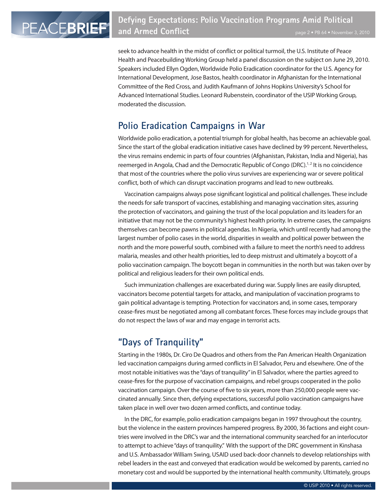seek to advance health in the midst of conflict or political turmoil, the U.S. Institute of Peace Health and Peacebuilding Working Group held a panel discussion on the subject on June 29, 2010. Speakers included Ellyn Ogden, Worldwide Polio Eradication coordinator for the U.S. Agency for International Development, Jose Bastos, health coordinator in Afghanistan for the International Committee of the Red Cross, and Judith Kaufmann of Johns Hopkins University's School for Advanced International Studies. Leonard Rubenstein, coordinator of the USIP Working Group, moderated the discussion.

## **Polio Eradication Campaigns in War**

Worldwide polio eradication, a potential triumph for global health, has become an achievable goal. Since the start of the global eradication initiative cases have declined by 99 percent. Nevertheless, the virus remains endemic in parts of four countries (Afghanistan, Pakistan, India and Nigeria), has reemerged in Angola, Chad and the Democratic Republic of Congo (DRC).<sup>1,2</sup> It is no coincidence that most of the countries where the polio virus survives are experiencing war or severe political conflict, both of which can disrupt vaccination programs and lead to new outbreaks.

Vaccination campaigns always pose significant logistical and political challenges. These include the needs for safe transport of vaccines, establishing and managing vaccination sites, assuring the protection of vaccinators, and gaining the trust of the local population and its leaders for an initiative that may not be the community's highest health priority. In extreme cases, the campaigns themselves can become pawns in political agendas. In Nigeria, which until recently had among the largest number of polio cases in the world, disparities in wealth and political power between the north and the more powerful south, combined with a failure to meet the north's need to address malaria, measles and other health priorities, led to deep mistrust and ultimately a boycott of a polio vaccination campaign. The boycott began in communities in the north but was taken over by political and religious leaders for their own political ends.

Such immunization challenges are exacerbated during war. Supply lines are easily disrupted, vaccinators become potential targets for attacks, and manipulation of vaccination programs to gain political advantage is tempting. Protection for vaccinators and, in some cases, temporary cease-fires must be negotiated among all combatant forces. These forces may include groups that do not respect the laws of war and may engage in terrorist acts.

## **"Days of Tranquility"**

Starting in the 1980s, Dr. Ciro De Quadros and others from the Pan American Health Organization led vaccination campaigns during armed conflicts in El Salvador, Peru and elsewhere. One of the most notable initiatives was the "days of tranquility" in El Salvador, where the parties agreed to cease-fires for the purpose of vaccination campaigns, and rebel groups cooperated in the polio vaccination campaign. Over the course of five to six years, more than 250,000 people were vaccinated annually. Since then, defying expectations, successful polio vaccination campaigns have taken place in well over two dozen armed conflicts, and continue today.

In the DRC, for example, polio eradication campaigns began in 1997 throughout the country, but the violence in the eastern provinces hampered progress. By 2000, 36 factions and eight countries were involved in the DRC's war and the international community searched for an interlocutor to attempt to achieve "days of tranquility." With the support of the DRC government in Kinshasa and U.S. Ambassador William Swing, USAID used back-door channels to develop relationships with rebel leaders in the east and conveyed that eradication would be welcomed by parents, carried no monetary cost and would be supported by the international health community. Ultimately, groups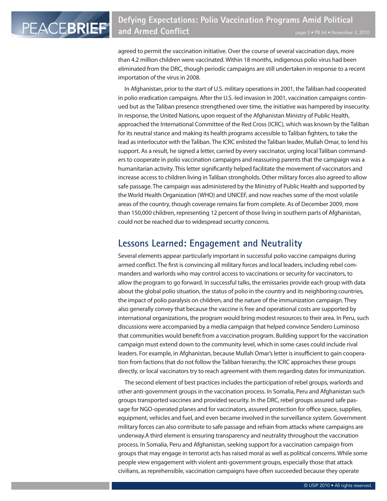agreed to permit the vaccination initiative. Over the course of several vaccination days, more than 4.2 million children were vaccinated. Within 18 months, indigenous polio virus had been eliminated from the DRC, though periodic campaigns are still undertaken in response to a recent importation of the virus in 2008.

In Afghanistan, prior to the start of U.S. military operations in 2001, the Taliban had cooperated in polio eradication campaigns. After the U.S.-led invasion in 2001, vaccination campaigns continued but as the Taliban presence strengthened over time, the initiative was hampered by insecurity. In response, the United Nations, upon request of the Afghanistan Ministry of Public Health, approached the International Committee of the Red Cross (ICRC), which was known by the Taliban for its neutral stance and making its health programs accessible to Taliban fighters, to take the lead as interlocutor with the Taliban. The ICRC enlisted the Taliban leader, Mullah Omar, to lend his support. As a result, he signed a letter, carried by every vaccinator, urging local Taliban commanders to cooperate in polio vaccination campaigns and reassuring parents that the campaign was a humanitarian activity. This letter significantly helped facilitate the movement of vaccinators and increase access to children living in Taliban strongholds. Other military forces also agreed to allow safe passage. The campaign was administered by the Ministry of Public Health and supported by the World Health Organization (WHO) and UNICEF, and now reaches some of the most volatile areas of the country, though coverage remains far from complete. As of December 2009, more than 150,000 children, representing 12 percent of those living in southern parts of Afghanistan, could not be reached due to widespread security concerns.

#### **Lessons Learned: Engagement and Neutrality**

Several elements appear particularly important in successful polio vaccine campaigns during armed conflict. The first is convincing all military forces and local leaders, including rebel commanders and warlords who may control access to vaccinations or security for vaccinators, to allow the program to go forward. In successful talks, the emissaries provide each group with data about the global polio situation, the status of polio in the country and its neighboring countries, the impact of polio paralysis on children, and the nature of the immunization campaign. They also generally convey that because the vaccine is free and operational costs are supported by international organizations, the program would bring modest resources to their area. In Peru, such discussions were accompanied by a media campaign that helped convince Sendero Luminoso that communities would benefit from a vaccination program. Building support for the vaccination campaign must extend down to the community level, which in some cases could include rival leaders. For example, in Afghanistan, because Mullah Omar's letter is insufficient to gain cooperation from factions that do not follow the Taliban hierarchy, the ICRC approaches these groups directly, or local vaccinators try to reach agreement with them regarding dates for immunization.

The second element of best practices includes the participation of rebel groups, warlords and other anti-government groups in the vaccination process. In Somalia, Peru and Afghanistan such groups transported vaccines and provided security. In the DRC, rebel groups assured safe passage for NGO-operated planes and for vaccinators, assured protection for office space, supplies, equipment, vehicles and fuel, and even became involved in the surveillance system. Government military forces can also contribute to safe passage and refrain from attacks where campaigns are underway.A third element is ensuring transparency and neutrality throughout the vaccination process. In Somalia, Peru and Afghanistan, seeking support for a vaccination campaign from groups that may engage in terrorist acts has raised moral as well as political concerns. While some people view engagement with violent anti-government groups, especially those that attack civilians, as reprehensible, vaccination campaigns have often succeeded because they operate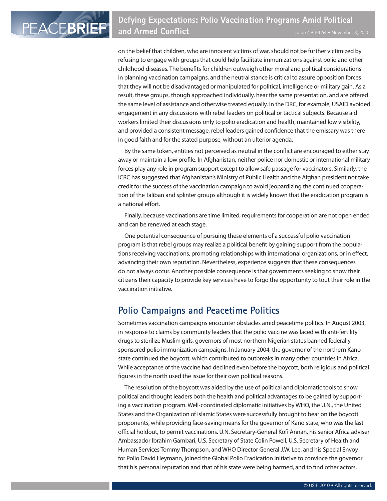on the belief that children, who are innocent victims of war, should not be further victimized by refusing to engage with groups that could help facilitate immunizations against polio and other childhood diseases. The benefits for children outweigh other moral and political considerations in planning vaccination campaigns, and the neutral stance is critical to assure opposition forces that they will not be disadvantaged or manipulated for political, intelligence or military gain. As a result, these groups, though approached individually, hear the same presentation, and are offered the same level of assistance and otherwise treated equally. In the DRC, for example, USAID avoided engagement in any discussions with rebel leaders on political or tactical subjects. Because aid workers limited their discussions only to polio eradication and health, maintained low visibility, and provided a consistent message, rebel leaders gained confidence that the emissary was there in good faith and for the stated purpose, without an ulterior agenda.

By the same token, entities not perceived as neutral in the conflict are encouraged to either stay away or maintain a low profile. In Afghanistan, neither police nor domestic or international military forces play any role in program support except to allow safe passage for vaccinators. Similarly, the ICRC has suggested that Afghanistan's Ministry of Public Health and the Afghan president not take credit for the success of the vaccination campaign to avoid jeopardizing the continued cooperation of the Taliban and splinter groups although it is widely known that the eradication program is a national effort.

Finally, because vaccinations are time limited, requirements for cooperation are not open ended and can be renewed at each stage.

One potential consequence of pursuing these elements of a successful polio vaccination program is that rebel groups may realize a political benefit by gaining support from the populations receiving vaccinations, promoting relationships with international organizations, or in effect, advancing their own reputation. Nevertheless, experience suggests that these consequences do not always occur. Another possible consequence is that governments seeking to show their citizens their capacity to provide key services have to forgo the opportunity to tout their role in the vaccination initiative.

#### **Polio Campaigns and Peacetime Politics**

Sometimes vaccination campaigns encounter obstacles amid peacetime politics. In August 2003, in response to claims by community leaders that the polio vaccine was laced with anti-fertility drugs to sterilize Muslim girls, governors of most northern Nigerian states banned federally sponsored polio immunization campaigns. In January 2004, the governor of the northern Kano state continued the boycott, which contributed to outbreaks in many other countries in Africa. While acceptance of the vaccine had declined even before the boycott, both religious and political figures in the north used the issue for their own political reasons.

The resolution of the boycott was aided by the use of political and diplomatic tools to show political and thought leaders both the health and political advantages to be gained by supporting a vaccination program. Well-coordinated diplomatic initiatives by WHO, the U.N., the United States and the Organization of Islamic States were successfully brought to bear on the boycott proponents, while providing face-saving means for the governor of Kano state, who was the last official holdout, to permit vaccinations. U.N. Secretary-General Kofi Annan, his senior Africa adviser Ambassador Ibrahim Gambari, U.S. Secretary of State Colin Powell, U.S. Secretary of Health and Human Services Tommy Thompson, and WHO Director General J.W. Lee, and his Special Envoy for Polio David Heymann, joined the Global Polio Eradication Initiative to convince the governor that his personal reputation and that of his state were being harmed, and to find other actors,